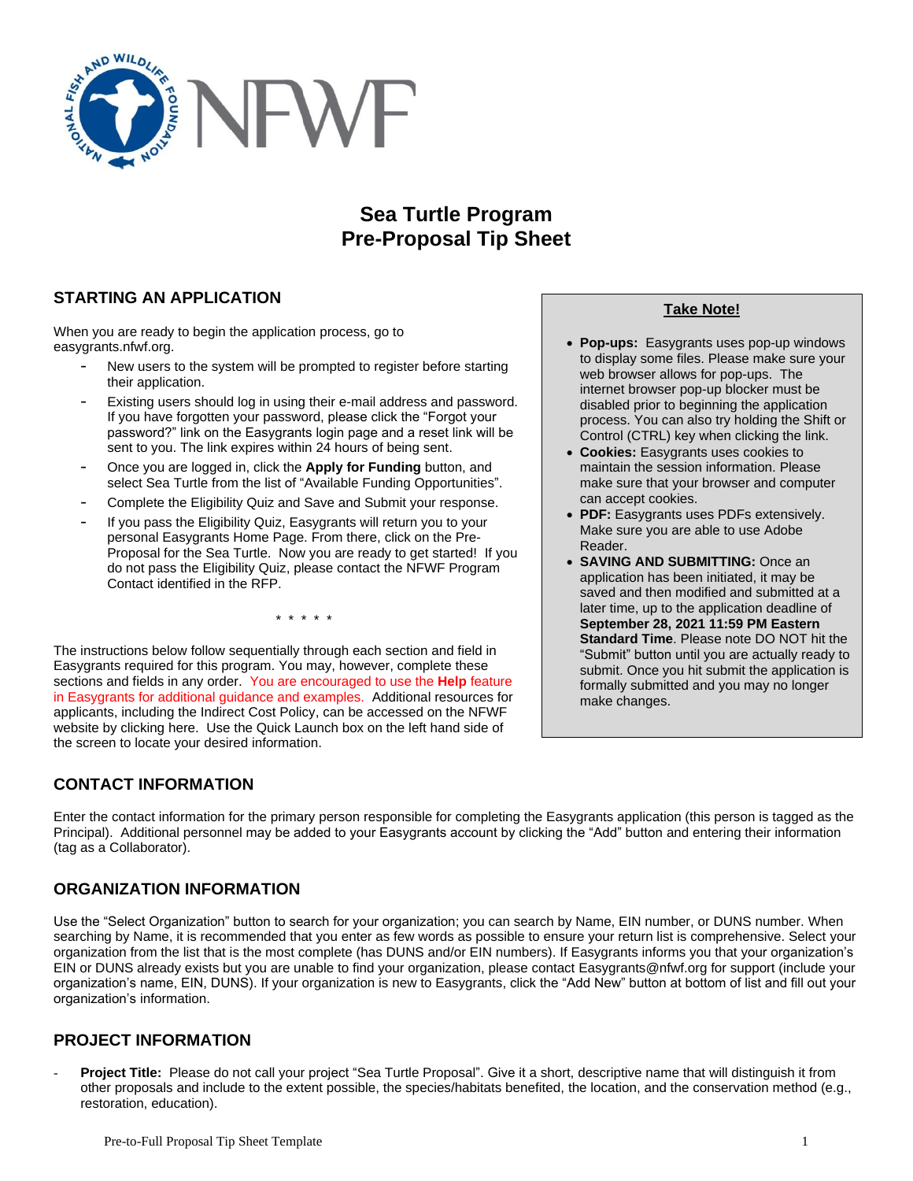

# **Sea Turtle Program Pre-Proposal Tip Sheet**

# **STARTING AN APPLICATION**

When you are ready to begin the application process, go to easygrants.nfwf.org.

- New users to the system will be prompted to register before starting their application.
- Existing users should log in using their e-mail address and password. If you have forgotten your password, please click the "Forgot your password?" link on the Easygrants login page and a reset link will be sent to you. The link expires within 24 hours of being sent.
- Once you are logged in, click the **Apply for Funding** button, and select Sea Turtle from the list of "Available Funding Opportunities".
- Complete the Eligibility Quiz and Save and Submit your response.
- If you pass the Eligibility Quiz, Easygrants will return you to your personal Easygrants Home Page. From there, click on the Pre-Proposal for the Sea Turtle. Now you are ready to get started! If you do not pass the Eligibility Quiz, please contact the NFWF Program Contact identified in the RFP.

\* \* \* \* \*

The instructions below follow sequentially through each section and field in Easygrants required for this program. You may, however, complete these sections and fields in any order. You are encouraged to use the **Help** feature in Easygrants for additional guidance and examples. Additional resources for applicants, including the Indirect Cost Policy, can be accessed on the NFWF website by clicking here. Use the Quick Launch box on the left hand side of the screen to locate your desired information.

# **CONTACT INFORMATION**

Enter the contact information for the primary person responsible for completing the Easygrants application (this person is tagged as the Principal). Additional personnel may be added to your Easygrants account by clicking the "Add" button and entering their information (tag as a Collaborator).

# **ORGANIZATION INFORMATION**

Use the "Select Organization" button to search for your organization; you can search by Name, EIN number, or DUNS number. When searching by Name, it is recommended that you enter as few words as possible to ensure your return list is comprehensive. Select your organization from the list that is the most complete (has DUNS and/or EIN numbers). If Easygrants informs you that your organization's EIN or DUNS already exists but you are unable to find your organization, please contact Easygrants@nfwf.org for support (include your organization's name, EIN, DUNS). If your organization is new to Easygrants, click the "Add New" button at bottom of list and fill out your organization's information.

# **PROJECT INFORMATION**

Project Title: Please do not call your project "Sea Turtle Proposal". Give it a short, descriptive name that will distinguish it from other proposals and include to the extent possible, the species/habitats benefited, the location, and the conservation method (e.g., restoration, education).

### **Take Note!**

- **Pop-ups:** Easygrants uses pop-up windows to display some files. Please make sure your web browser allows for pop-ups. The internet browser pop-up blocker must be disabled prior to beginning the application process. You can also try holding the Shift or Control (CTRL) key when clicking the link.
- **Cookies:** Easygrants uses cookies to maintain the session information. Please make sure that your browser and computer can accept cookies.
- **PDF:** Easygrants uses PDFs extensively. Make sure you are able to use Adobe Reader.
- **SAVING AND SUBMITTING:** Once an application has been initiated, it may be saved and then modified and submitted at a later time, up to the application deadline of **September 28, 2021 11:59 PM Eastern Standard Time**. Please note DO NOT hit the "Submit" button until you are actually ready to submit. Once you hit submit the application is formally submitted and you may no longer make changes.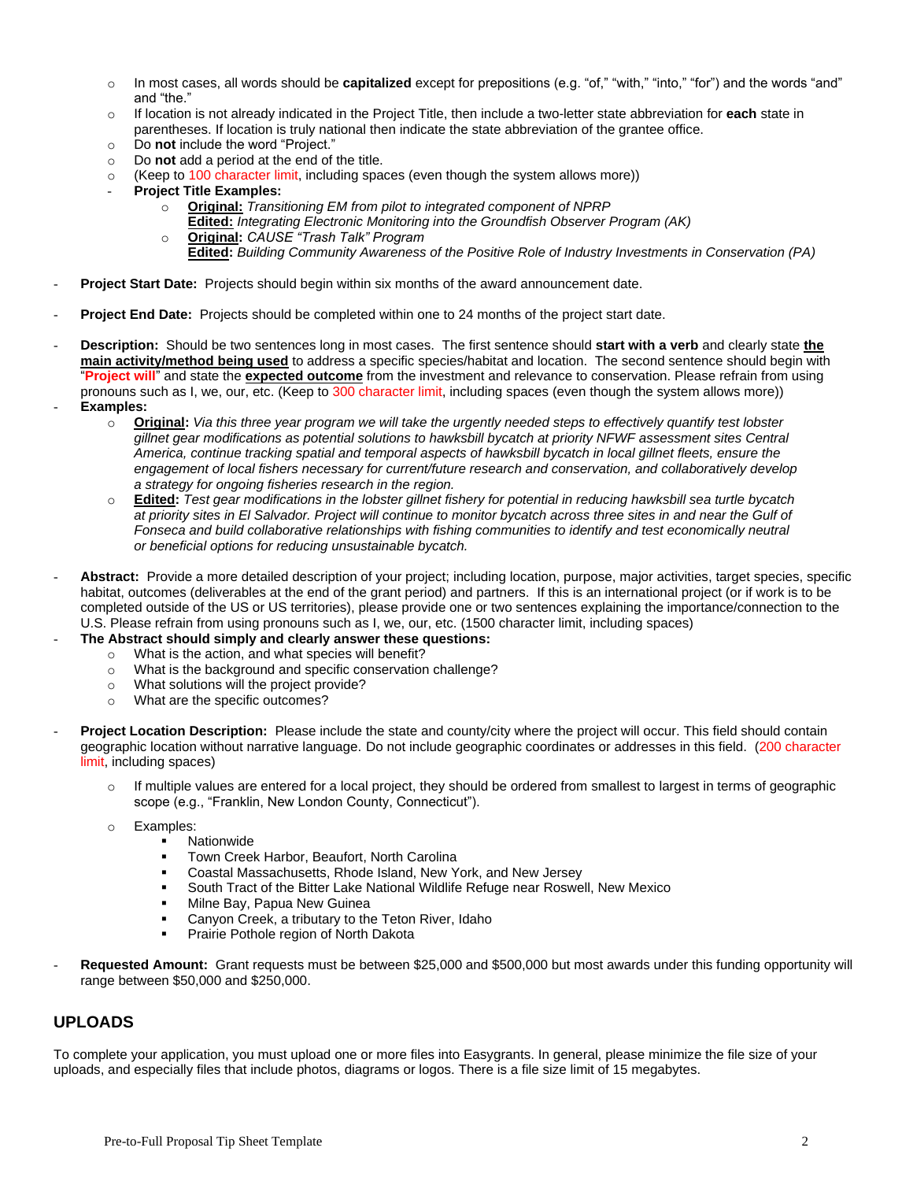- o In most cases, all words should be **capitalized** except for prepositions (e.g. "of," "with," "into," "for") and the words "and" and "the."
- o If location is not already indicated in the Project Title, then include a two-letter state abbreviation for **each** state in parentheses. If location is truly national then indicate the state abbreviation of the grantee office.
- o Do **not** include the word "Project."
- o Do **not** add a period at the end of the title.
- $\circ$  (Keep to 100 character limit, including spaces (even though the system allows more))
- **Project Title Examples:**
	- o **Original:** *Transitioning EM from pilot to integrated component of NPRP*
		- **Edited:** *Integrating Electronic Monitoring into the Groundfish Observer Program (AK)*
	- o **Original:** *CAUSE "Trash Talk" Program*
		- **Edited:** *Building Community Awareness of the Positive Role of Industry Investments in Conservation (PA)*
- **Project Start Date:** Projects should begin within six months of the award announcement date.
- **Project End Date:** Projects should be completed within one to 24 months of the project start date.
- **Description:** Should be two sentences long in most cases. The first sentence should **start with a verb** and clearly state **the main activity/method being used** to address a specific species/habitat and location. The second sentence should begin with "**Project will**" and state the **expected outcome** from the investment and relevance to conservation. Please refrain from using pronouns such as I, we, our, etc. (Keep to 300 character limit, including spaces (even though the system allows more))
- **Examples:**
	- o **Original:** *Via this three year program we will take the urgently needed steps to effectively quantify test lobster gillnet gear modifications as potential solutions to hawksbill bycatch at priority NFWF assessment sites Central America, continue tracking spatial and temporal aspects of hawksbill bycatch in local gillnet fleets, ensure the engagement of local fishers necessary for current/future research and conservation, and collaboratively develop a strategy for ongoing fisheries research in the region.*
	- o **Edited:** *Test gear modifications in the lobster gillnet fishery for potential in reducing hawksbill sea turtle bycatch at priority sites in El Salvador. Project will continue to monitor bycatch across three sites in and near the Gulf of Fonseca and build collaborative relationships with fishing communities to identify and test economically neutral or beneficial options for reducing unsustainable bycatch.*
- Abstract: Provide a more detailed description of your project; including location, purpose, major activities, target species, specific habitat, outcomes (deliverables at the end of the grant period) and partners. If this is an international project (or if work is to be completed outside of the US or US territories), please provide one or two sentences explaining the importance/connection to the U.S. Please refrain from using pronouns such as I, we, our, etc. (1500 character limit, including spaces)
- **The Abstract should simply and clearly answer these questions:** 
	- o What is the action, and what species will benefit?
	- o What is the background and specific conservation challenge?
	- o What solutions will the project provide?
	- o What are the specific outcomes?
- **Project Location Description:** Please include the state and county/city where the project will occur. This field should contain geographic location without narrative language. Do not include geographic coordinates or addresses in this field. (200 character limit, including spaces)
	- If multiple values are entered for a local project, they should be ordered from smallest to largest in terms of geographic scope (e.g., "Franklin, New London County, Connecticut").
	- o Examples:
		- **Nationwide**
		- Town Creek Harbor, Beaufort, North Carolina
		- Coastal Massachusetts, Rhode Island, New York, and New Jersey
		- South Tract of the Bitter Lake National Wildlife Refuge near Roswell, New Mexico
		- Milne Bay, Papua New Guinea
		- Canyon Creek, a tributary to the Teton River, Idaho
		- Prairie Pothole region of North Dakota
- **Requested Amount:** Grant requests must be between \$25,000 and \$500,000 but most awards under this funding opportunity will range between \$50,000 and \$250,000.

### **UPLOADS**

To complete your application, you must upload one or more files into Easygrants. In general, please minimize the file size of your uploads, and especially files that include photos, diagrams or logos. There is a file size limit of 15 megabytes.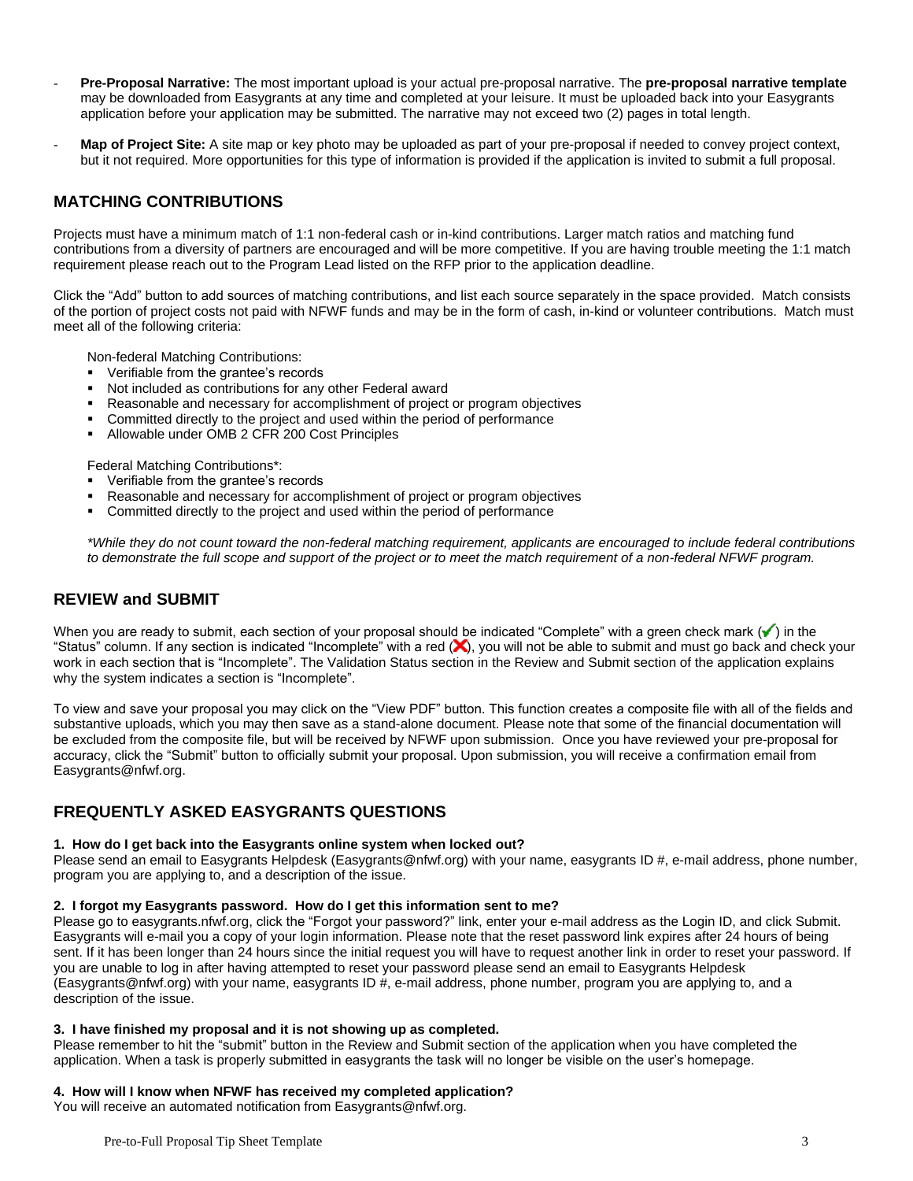- **Pre-Proposal Narrative:** The most important upload is your actual pre-proposal narrative. The **pre-proposal narrative template** may be downloaded from Easygrants at any time and completed at your leisure. It must be uploaded back into your Easygrants application before your application may be submitted. The narrative may not exceed two (2) pages in total length.
- Map of Project Site: A site map or key photo may be uploaded as part of your pre-proposal if needed to convey project context, but it not required. More opportunities for this type of information is provided if the application is invited to submit a full proposal.

## **MATCHING CONTRIBUTIONS**

Projects must have a minimum match of 1:1 non-federal cash or in-kind contributions. Larger match ratios and matching fund contributions from a diversity of partners are encouraged and will be more competitive. If you are having trouble meeting the 1:1 match requirement please reach out to the Program Lead listed on the RFP prior to the application deadline.

Click the "Add" button to add sources of matching contributions, and list each source separately in the space provided. Match consists of the portion of project costs not paid with NFWF funds and may be in the form of cash, in-kind or volunteer contributions. Match must meet all of the following criteria:

Non-federal Matching Contributions:

- Verifiable from the grantee's records
- Not included as contributions for any other Federal award
- Reasonable and necessary for accomplishment of project or program objectives
- Committed directly to the project and used within the period of performance
- Allowable under OMB 2 CFR 200 Cost Principles

Federal Matching Contributions\*:

- Verifiable from the grantee's records
- Reasonable and necessary for accomplishment of project or program objectives
- Committed directly to the project and used within the period of performance

*\*While they do not count toward the non-federal matching requirement, applicants are encouraged to include federal contributions to demonstrate the full scope and support of the project or to meet the match requirement of a non-federal NFWF program.*

### **REVIEW and SUBMIT**

When you are ready to submit, each section of your proposal should be indicated "Complete" with a green check mark  $(\checkmark)$  in the "Status" column. If any section is indicated "Incomplete" with a red (X), you will not be able to submit and must go back and check your work in each section that is "Incomplete". The Validation Status section in the Review and Submit section of the application explains why the system indicates a section is "Incomplete".

To view and save your proposal you may click on the "View PDF" button. This function creates a composite file with all of the fields and substantive uploads, which you may then save as a stand-alone document. Please note that some of the financial documentation will be excluded from the composite file, but will be received by NFWF upon submission. Once you have reviewed your pre-proposal for accuracy, click the "Submit" button to officially submit your proposal. Upon submission, you will receive a confirmation email from Easygrants@nfwf.org.

### **FREQUENTLY ASKED EASYGRANTS QUESTIONS**

### **1. How do I get back into the Easygrants online system when locked out?**

Please send an email to Easygrants Helpdesk (Easygrants@nfwf.org) with your name, easygrants ID #, e-mail address, phone number, program you are applying to, and a description of the issue.

### **2. I forgot my Easygrants password. How do I get this information sent to me?**

Please go to easygrants.nfwf.org, click the "Forgot your password?" link, enter your e-mail address as the Login ID, and click Submit. Easygrants will e-mail you a copy of your login information. Please note that the reset password link expires after 24 hours of being sent. If it has been longer than 24 hours since the initial request you will have to request another link in order to reset your password. If you are unable to log in after having attempted to reset your password please send an email to Easygrants Helpdesk (Easygrants@nfwf.org) with your name, easygrants ID #, e-mail address, phone number, program you are applying to, and a description of the issue.

#### **3. I have finished my proposal and it is not showing up as completed.**

Please remember to hit the "submit" button in the Review and Submit section of the application when you have completed the application. When a task is properly submitted in easygrants the task will no longer be visible on the user's homepage.

### **4. How will I know when NFWF has received my completed application?**

You will receive an automated notification from Easygrants@nfwf.org.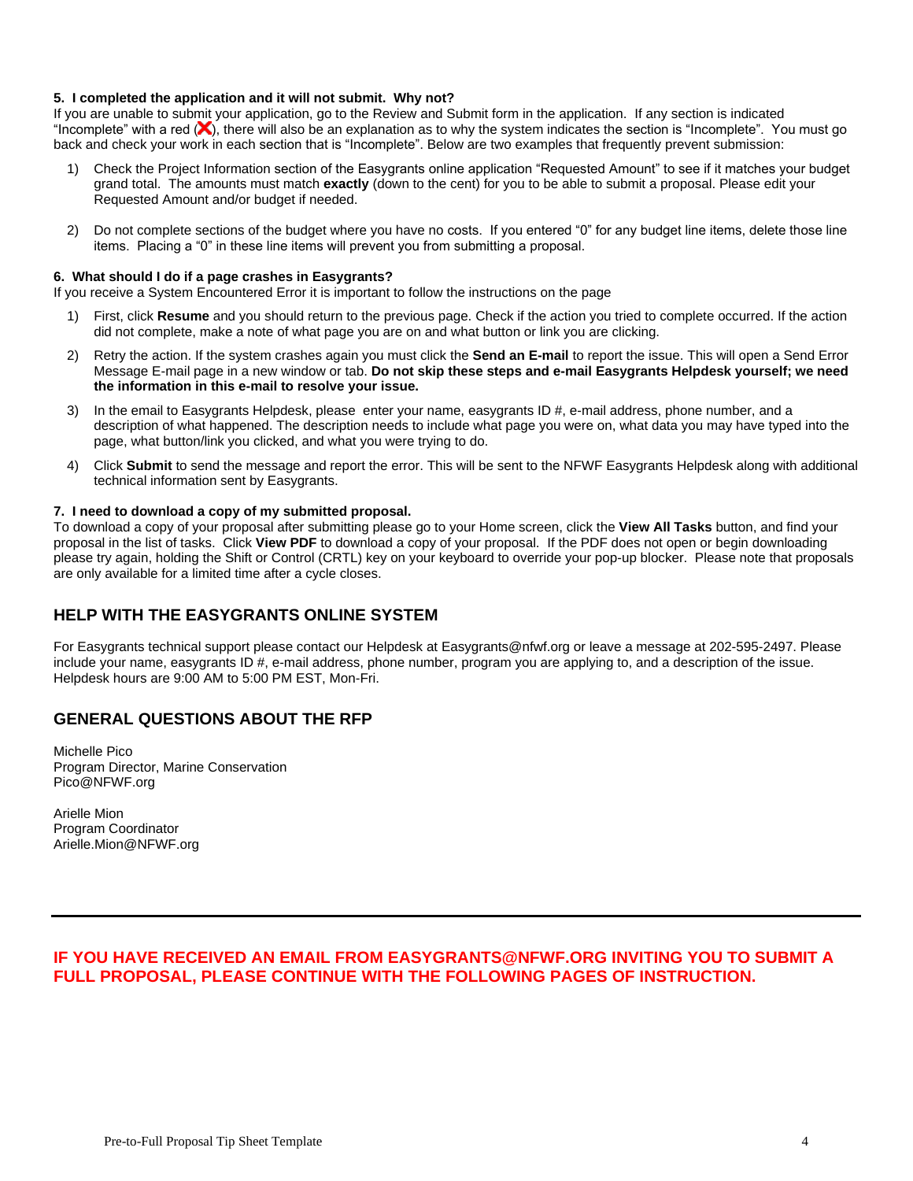### **5. I completed the application and it will not submit. Why not?**

If you are unable to submit your application, go to the Review and Submit form in the application.If any section is indicated "Incomplete" with a red  $(X)$ , there will also be an explanation as to why the system indicates the section is "Incomplete". You must go back and check your work in each section that is "Incomplete". Below are two examples that frequently prevent submission:

- 1) Check the Project Information section of the Easygrants online application "Requested Amount" to see if it matches your budget grand total. The amounts must match **exactly** (down to the cent) for you to be able to submit a proposal. Please edit your Requested Amount and/or budget if needed.
- 2) Do not complete sections of the budget where you have no costs. If you entered "0" for any budget line items, delete those line items. Placing a "0" in these line items will prevent you from submitting a proposal.

### **6. What should I do if a page crashes in Easygrants?**

If you receive a System Encountered Error it is important to follow the instructions on the page

- 1) First, click **Resume** and you should return to the previous page. Check if the action you tried to complete occurred. If the action did not complete, make a note of what page you are on and what button or link you are clicking.
- 2) Retry the action. If the system crashes again you must click the **Send an E-mail** to report the issue. This will open a Send Error Message E-mail page in a new window or tab. **Do not skip these steps and e-mail Easygrants Helpdesk yourself; we need the information in this e-mail to resolve your issue.**
- 3) In the email to Easygrants Helpdesk, please enter your name, easygrants ID #, e-mail address, phone number, and a description of what happened. The description needs to include what page you were on, what data you may have typed into the page, what button/link you clicked, and what you were trying to do.
- 4) Click **Submit** to send the message and report the error. This will be sent to the NFWF Easygrants Helpdesk along with additional technical information sent by Easygrants.

### **7. I need to download a copy of my submitted proposal.**

To download a copy of your proposal after submitting please go to your Home screen, click the **View All Tasks** button, and find your proposal in the list of tasks. Click **View PDF** to download a copy of your proposal. If the PDF does not open or begin downloading please try again, holding the Shift or Control (CRTL) key on your keyboard to override your pop-up blocker. Please note that proposals are only available for a limited time after a cycle closes.

### **HELP WITH THE EASYGRANTS ONLINE SYSTEM**

For Easygrants technical support please contact our Helpdesk at Easygrants@nfwf.org or leave a message at 202-595-2497. Please include your name, easygrants ID #, e-mail address, phone number, program you are applying to, and a description of the issue. Helpdesk hours are 9:00 AM to 5:00 PM EST, Mon-Fri.

### **GENERAL QUESTIONS ABOUT THE RFP**

Michelle Pico Program Director, Marine Conservation Pico@NFWF.org

Arielle Mion Program Coordinator Arielle.Mion@NFWF.org

## **IF YOU HAVE RECEIVED AN EMAIL FROM EASYGRANTS@NFWF.ORG INVITING YOU TO SUBMIT A FULL PROPOSAL, PLEASE CONTINUE WITH THE FOLLOWING PAGES OF INSTRUCTION.**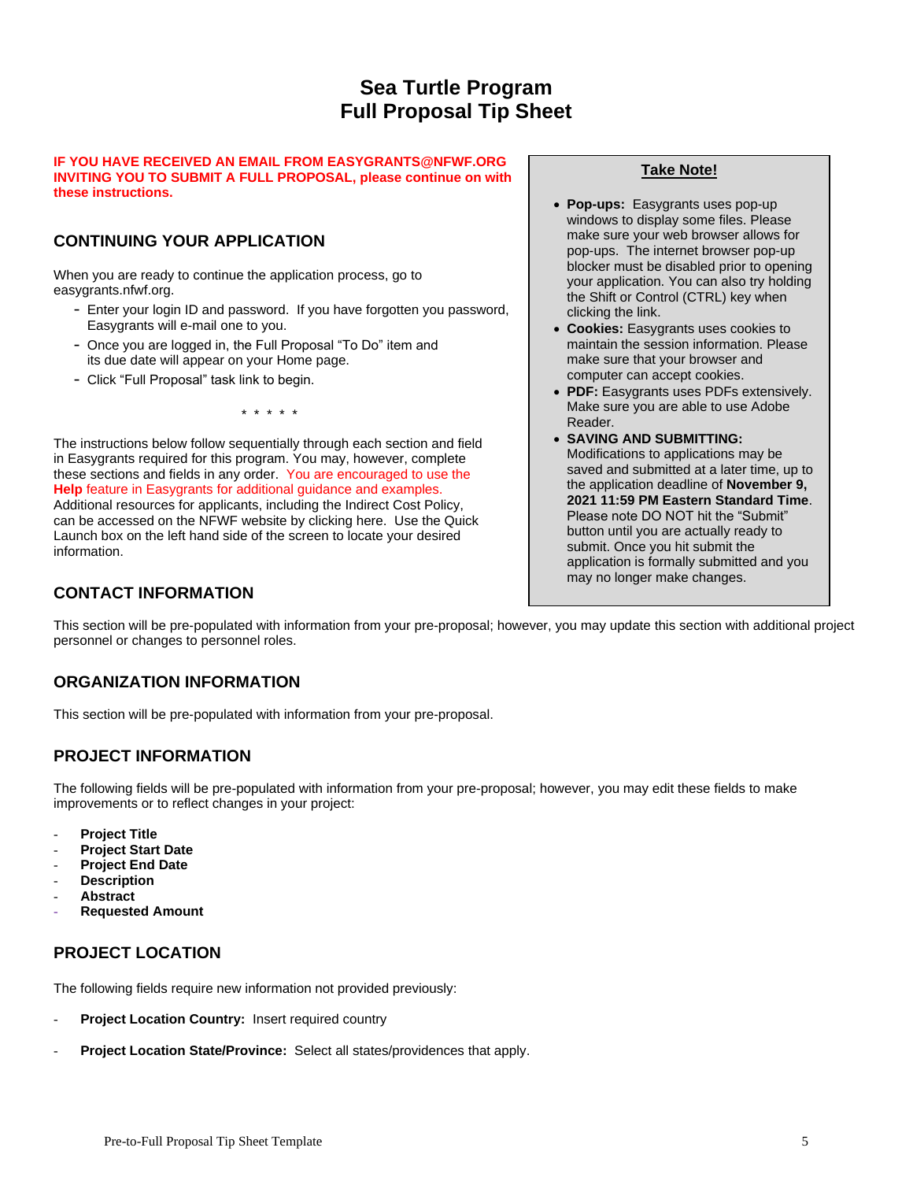# **Sea Turtle Program Full Proposal Tip Sheet**

### **IF YOU HAVE RECEIVED AN EMAIL FROM EASYGRANTS@NFWF.ORG INVITING YOU TO SUBMIT A FULL PROPOSAL, please continue on with these instructions.**

# **CONTINUING YOUR APPLICATION**

When you are ready to continue the application process, go to easygrants.nfwf.org.

- Enter your login ID and password. If you have forgotten you password, Easygrants will e-mail one to you.
- Once you are logged in, the Full Proposal "To Do" item and its due date will appear on your Home page.
- Click "Full Proposal" task link to begin.

\* \* \* \* \*

The instructions below follow sequentially through each section and field in Easygrants required for this program. You may, however, complete these sections and fields in any order. You are encouraged to use the **Help** feature in Easygrants for additional guidance and examples. Additional resources for applicants, including the Indirect Cost Policy, can be accessed on the NFWF website by clicking here. Use the Quick Launch box on the left hand side of the screen to locate your desired information.

# **CONTACT INFORMATION**

## **Take Note!**

- **Pop-ups:** Easygrants uses pop-up windows to display some files. Please make sure your web browser allows for pop-ups. The internet browser pop-up blocker must be disabled prior to opening your application. You can also try holding the Shift or Control (CTRL) key when clicking the link.
- **Cookies:** Easygrants uses cookies to maintain the session information. Please make sure that your browser and computer can accept cookies.
- **PDF:** Easygrants uses PDFs extensively. Make sure you are able to use Adobe Reader.
- **SAVING AND SUBMITTING:**  Modifications to applications may be saved and submitted at a later time, up to the application deadline of **November 9, 2021 11:59 PM Eastern Standard Time**. Please note DO NOT hit the "Submit" button until you are actually ready to submit. Once you hit submit the application is formally submitted and you may no longer make changes.

This section will be pre-populated with information from your pre-proposal; however, you may update this section with additional project personnel or changes to personnel roles.

# **ORGANIZATION INFORMATION**

This section will be pre-populated with information from your pre-proposal.

# **PROJECT INFORMATION**

The following fields will be pre-populated with information from your pre-proposal; however, you may edit these fields to make improvements or to reflect changes in your project:

- **Project Title**
- **Project Start Date**
- **Project End Date**
- **Description**
- **Abstract**
- **Requested Amount**

# **PROJECT LOCATION**

The following fields require new information not provided previously:

- Project Location Country: Insert required country
- **Project Location State/Province:** Select all states/providences that apply.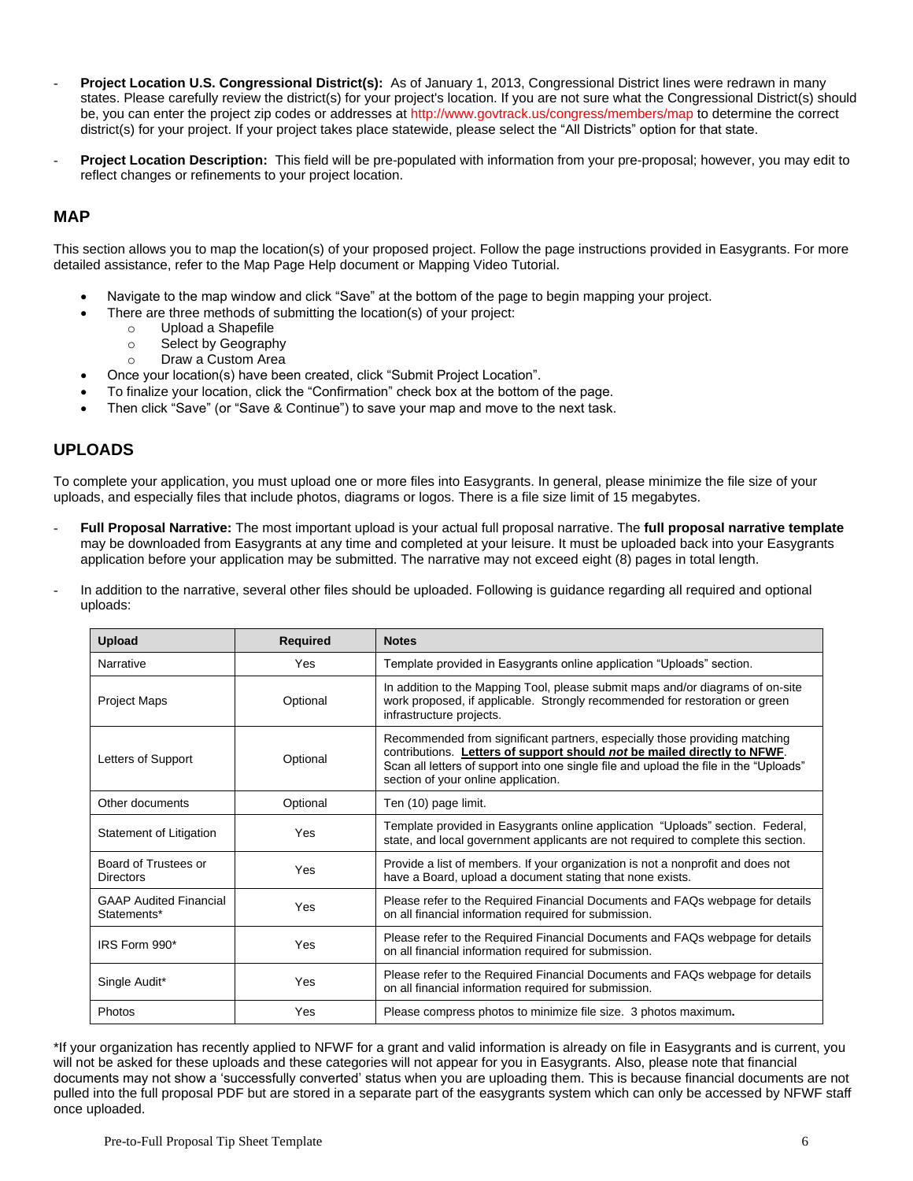- **Project Location U.S. Congressional District(s):** As of January 1, 2013, Congressional District lines were redrawn in many states. Please carefully review the district(s) for your project's location. If you are not sure what the Congressional District(s) should be, you can enter the project zip codes or addresses at http://www.govtrack.us/congress/members/map to determine the correct district(s) for your project. If your project takes place statewide, please select the "All Districts" option for that state.
- **Project Location Description:** This field will be pre-populated with information from your pre-proposal; however, you may edit to reflect changes or refinements to your project location.

### **MAP**

This section allows you to map the location(s) of your proposed project. Follow the page instructions provided in Easygrants. For more detailed assistance, refer to the Map Page Help document or Mapping Video Tutorial.

- Navigate to the map window and click "Save" at the bottom of the page to begin mapping your project.
	- There are three methods of submitting the location(s) of your project:
		- o Upload a Shapefile
		- o Select by Geography
		- o Draw a Custom Area
- Once your location(s) have been created, click "Submit Project Location".
- To finalize your location, click the "Confirmation" check box at the bottom of the page.
- Then click "Save" (or "Save & Continue") to save your map and move to the next task.

### **UPLOADS**

To complete your application, you must upload one or more files into Easygrants. In general, please minimize the file size of your uploads, and especially files that include photos, diagrams or logos. There is a file size limit of 15 megabytes.

- **Full Proposal Narrative:** The most important upload is your actual full proposal narrative. The **full proposal narrative template** may be downloaded from Easygrants at any time and completed at your leisure. It must be uploaded back into your Easygrants application before your application may be submitted. The narrative may not exceed eight (8) pages in total length.
- In addition to the narrative, several other files should be uploaded. Following is guidance regarding all required and optional uploads:

| <b>Upload</b>                                | <b>Required</b> | <b>Notes</b>                                                                                                                                                                                                                                                                           |
|----------------------------------------------|-----------------|----------------------------------------------------------------------------------------------------------------------------------------------------------------------------------------------------------------------------------------------------------------------------------------|
| Narrative                                    | Yes             | Template provided in Easygrants online application "Uploads" section.                                                                                                                                                                                                                  |
| <b>Project Maps</b>                          | Optional        | In addition to the Mapping Tool, please submit maps and/or diagrams of on-site<br>work proposed, if applicable. Strongly recommended for restoration or green<br>infrastructure projects.                                                                                              |
| Letters of Support                           | Optional        | Recommended from significant partners, especially those providing matching<br>contributions. Letters of support should not be mailed directly to NFWF.<br>Scan all letters of support into one single file and upload the file in the "Uploads"<br>section of your online application. |
| Other documents                              | Optional        | Ten (10) page limit.                                                                                                                                                                                                                                                                   |
| Statement of Litigation                      | Yes             | Template provided in Easygrants online application "Uploads" section. Federal,<br>state, and local government applicants are not required to complete this section.                                                                                                                    |
| Board of Trustees or<br><b>Directors</b>     | Yes             | Provide a list of members. If your organization is not a nonprofit and does not<br>have a Board, upload a document stating that none exists.                                                                                                                                           |
| <b>GAAP Audited Financial</b><br>Statements* | Yes             | Please refer to the Required Financial Documents and FAQs webpage for details<br>on all financial information required for submission.                                                                                                                                                 |
| IRS Form 990*                                | Yes             | Please refer to the Required Financial Documents and FAQs webpage for details<br>on all financial information required for submission.                                                                                                                                                 |
| Single Audit*                                | Yes             | Please refer to the Required Financial Documents and FAQs webpage for details<br>on all financial information required for submission.                                                                                                                                                 |
| Photos                                       | Yes             | Please compress photos to minimize file size. 3 photos maximum.                                                                                                                                                                                                                        |

\*If your organization has recently applied to NFWF for a grant and valid information is already on file in Easygrants and is current, you will not be asked for these uploads and these categories will not appear for you in Easygrants. Also, please note that financial documents may not show a 'successfully converted' status when you are uploading them. This is because financial documents are not pulled into the full proposal PDF but are stored in a separate part of the easygrants system which can only be accessed by NFWF staff once uploaded.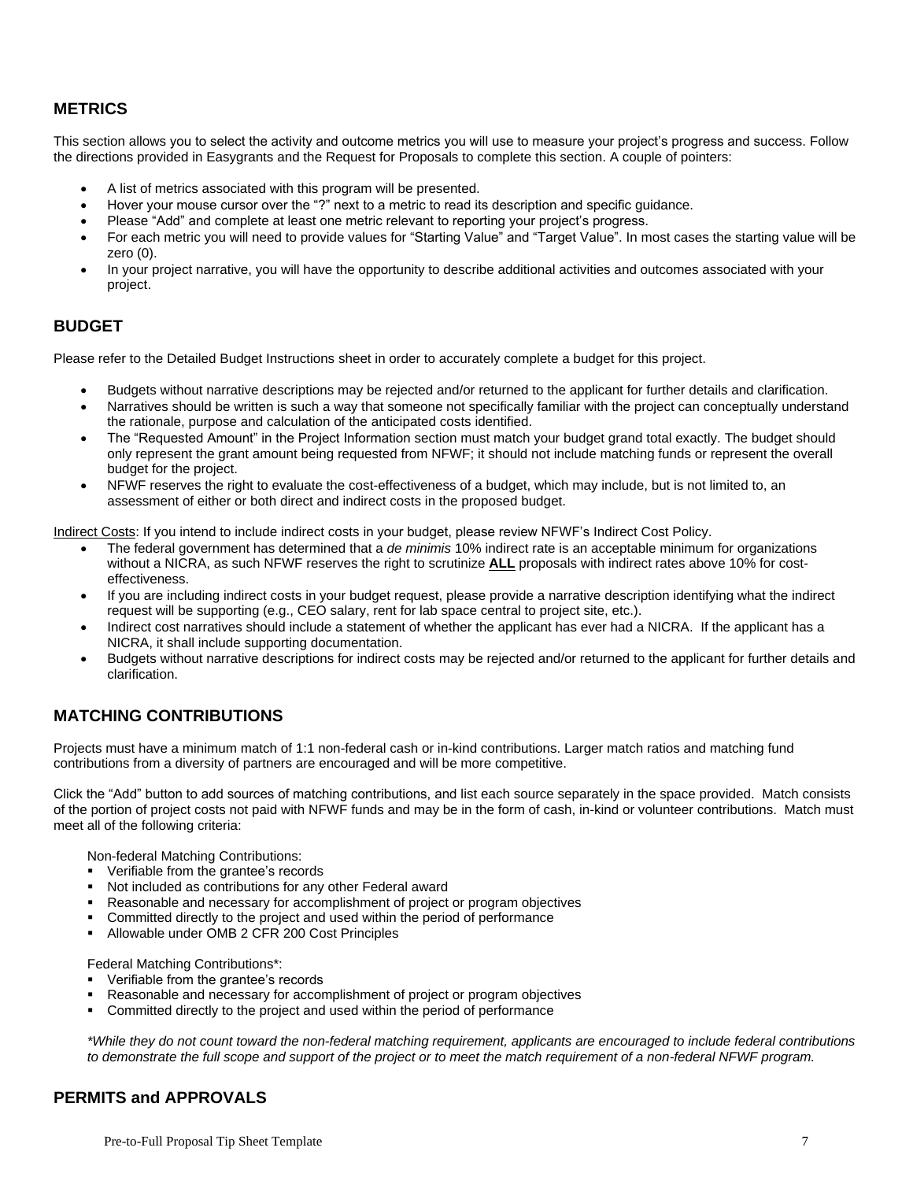## **METRICS**

This section allows you to select the activity and outcome metrics you will use to measure your project's progress and success. Follow the directions provided in Easygrants and the Request for Proposals to complete this section. A couple of pointers:

- A list of metrics associated with this program will be presented.
- Hover your mouse cursor over the "?" next to a metric to read its description and specific guidance.
- Please "Add" and complete at least one metric relevant to reporting your project's progress.
- For each metric you will need to provide values for "Starting Value" and "Target Value". In most cases the starting value will be zero (0).
- In your project narrative, you will have the opportunity to describe additional activities and outcomes associated with your project.

### **BUDGET**

Please refer to the Detailed Budget Instructions sheet in order to accurately complete a budget for this project.

- Budgets without narrative descriptions may be rejected and/or returned to the applicant for further details and clarification.
- Narratives should be written is such a way that someone not specifically familiar with the project can conceptually understand the rationale, purpose and calculation of the anticipated costs identified.
- The "Requested Amount" in the Project Information section must match your budget grand total exactly. The budget should only represent the grant amount being requested from NFWF; it should not include matching funds or represent the overall budget for the project.
- NFWF reserves the right to evaluate the cost-effectiveness of a budget, which may include, but is not limited to, an assessment of either or both direct and indirect costs in the proposed budget.

Indirect Costs: If you intend to include indirect costs in your budget, please review NFWF's Indirect Cost Policy.

- The federal government has determined that a *de minimis* 10% indirect rate is an acceptable minimum for organizations without a NICRA, as such NFWF reserves the right to scrutinize **ALL** proposals with indirect rates above 10% for costeffectiveness.
- If you are including indirect costs in your budget request, please provide a narrative description identifying what the indirect request will be supporting (e.g., CEO salary, rent for lab space central to project site, etc.).
- Indirect cost narratives should include a statement of whether the applicant has ever had a NICRA. If the applicant has a NICRA, it shall include supporting documentation.
- Budgets without narrative descriptions for indirect costs may be rejected and/or returned to the applicant for further details and clarification.

## **MATCHING CONTRIBUTIONS**

Projects must have a minimum match of 1:1 non-federal cash or in-kind contributions. Larger match ratios and matching fund contributions from a diversity of partners are encouraged and will be more competitive.

Click the "Add" button to add sources of matching contributions, and list each source separately in the space provided. Match consists of the portion of project costs not paid with NFWF funds and may be in the form of cash, in-kind or volunteer contributions. Match must meet all of the following criteria:

Non-federal Matching Contributions:

- Verifiable from the grantee's records
- Not included as contributions for any other Federal award
- Reasonable and necessary for accomplishment of project or program objectives
- Committed directly to the project and used within the period of performance
- Allowable under OMB 2 CFR 200 Cost Principles

Federal Matching Contributions\*:

- Verifiable from the grantee's records
- Reasonable and necessary for accomplishment of project or program objectives
- **Committed directly to the project and used within the period of performance**

*\*While they do not count toward the non-federal matching requirement, applicants are encouraged to include federal contributions to demonstrate the full scope and support of the project or to meet the match requirement of a non-federal NFWF program.*

### **PERMITS and APPROVALS**